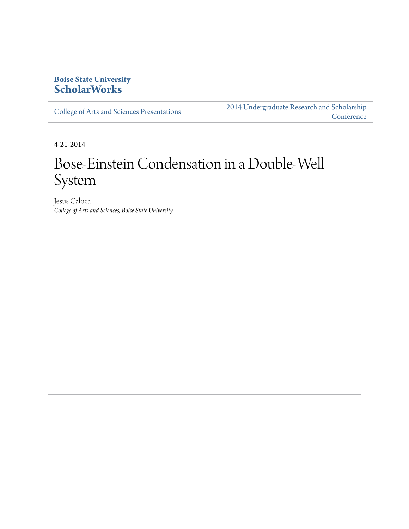#### **Boise State University [ScholarWorks](http://scholarworks.boisestate.edu)**

[College of Arts and Sciences Presentations](http://scholarworks.boisestate.edu/as_14)

[2014 Undergraduate Research and Scholarship](http://scholarworks.boisestate.edu/2014_under_conf) **[Conference](http://scholarworks.boisestate.edu/2014_under_conf)** 

4-21-2014

### Bose-Einstein Condensation in a Double-Well System

Jesus Caloca *College of Arts and Sciences, Boise State University*